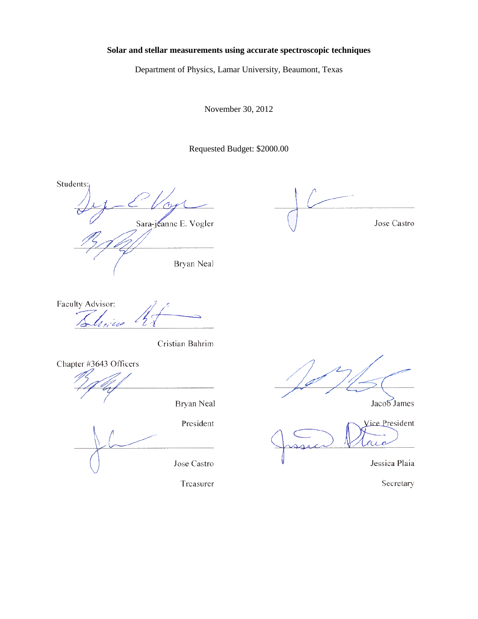## Solar and stellar measurements using accurate spectroscopic techniques

Department of Physics, Lamar University, Beaumont, Texas

November 30, 2012

Requested Budget: \$2000.00

Students: Sara-jeanne E. Vogler

Bryan Neal

Jose Castro

Faculty Advisor:

Cristian Bahrim

Chapter #3643 Officers

Bryan Neal

President

Jose Castro

Treasurer

Jacob James

Vice President x.

Jessica Plaia

Secretary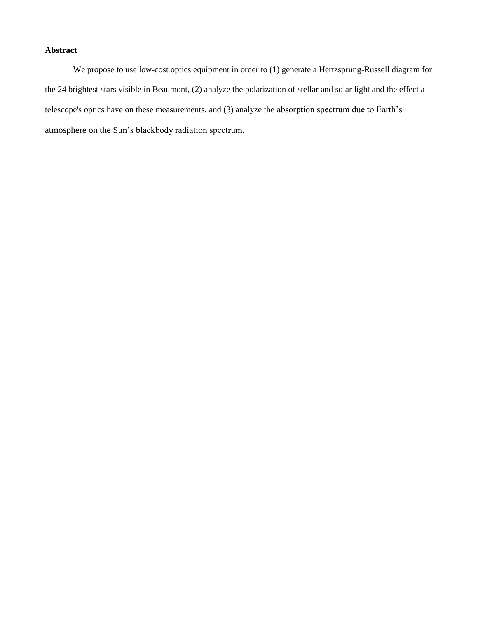# **Abstract**

We propose to use low-cost optics equipment in order to (1) generate a Hertzsprung-Russell diagram for the 24 brightest stars visible in Beaumont, (2) analyze the polarization of stellar and solar light and the effect a telescope's optics have on these measurements, and (3) analyze the absorption spectrum due to Earth's atmosphere on the Sun's blackbody radiation spectrum.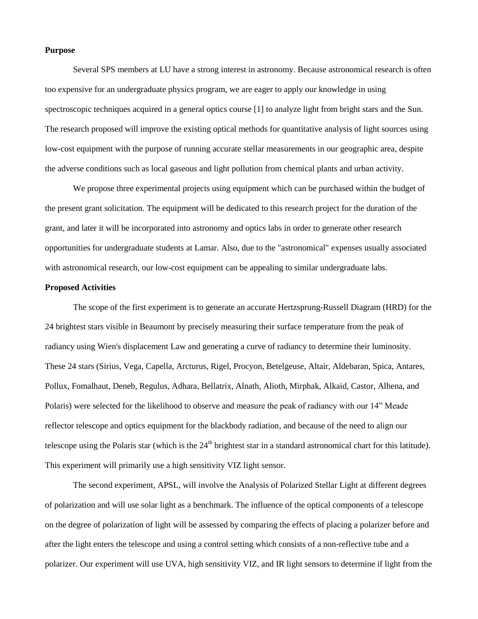#### **Purpose**

Several SPS members at LU have a strong interest in astronomy. Because astronomical research is often too expensive for an undergraduate physics program, we are eager to apply our knowledge in using spectroscopic techniques acquired in a general optics course [1] to analyze light from bright stars and the Sun. The research proposed will improve the existing optical methods for quantitative analysis of light sources using low-cost equipment with the purpose of running accurate stellar measurements in our geographic area, despite the adverse conditions such as local gaseous and light pollution from chemical plants and urban activity.

We propose three experimental projects using equipment which can be purchased within the budget of the present grant solicitation. The equipment will be dedicated to this research project for the duration of the grant, and later it will be incorporated into astronomy and optics labs in order to generate other research opportunities for undergraduate students at Lamar. Also, due to the "astronomical" expenses usually associated with astronomical research, our low-cost equipment can be appealing to similar undergraduate labs.

#### **Proposed Activities**

The scope of the first experiment is to generate an accurate Hertzsprung-Russell Diagram (HRD) for the 24 brightest stars visible in Beaumont by precisely measuring their surface temperature from the peak of radiancy using Wien's displacement Law and generating a curve of radiancy to determine their luminosity. These 24 stars (Sirius, Vega, Capella, Arcturus, Rigel, Procyon, Betelgeuse, Altair, Aldebaran, Spica, Antares, Pollux, Fomalhaut, Deneb, Regulus, Adhara, Bellatrix, Alnath, Alioth, Mirphak, Alkaid, Castor, Alhena, and Polaris) were selected for the likelihood to observe and measure the peak of radiancy with our 14" Meade reflector telescope and optics equipment for the blackbody radiation, and because of the need to align our telescope using the Polaris star (which is the  $24<sup>th</sup>$  brightest star in a standard astronomical chart for this latitude). This experiment will primarily use a high sensitivity VIZ light sensor.

The second experiment, APSL, will involve the Analysis of Polarized Stellar Light at different degrees of polarization and will use solar light as a benchmark. The influence of the optical components of a telescope on the degree of polarization of light will be assessed by comparing the effects of placing a polarizer before and after the light enters the telescope and using a control setting which consists of a non-reflective tube and a polarizer. Our experiment will use UVA, high sensitivity VIZ, and IR light sensors to determine if light from the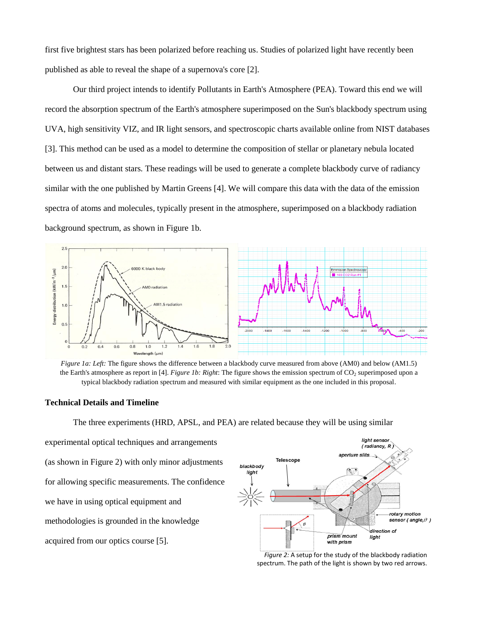first five brightest stars has been polarized before reaching us. Studies of polarized light have recently been published as able to reveal the shape of a supernova's core [2].

Our third project intends to identify Pollutants in Earth's Atmosphere (PEA). Toward this end we will record the absorption spectrum of the Earth's atmosphere superimposed on the Sun's blackbody spectrum using UVA, high sensitivity VIZ, and IR light sensors, and spectroscopic charts available online from NIST databases [3]. This method can be used as a model to determine the composition of stellar or planetary nebula located between us and distant stars. These readings will be used to generate a complete blackbody curve of radiancy similar with the one published by Martin Greens [4]. We will compare this data with the data of the emission spectra of atoms and molecules, typically present in the atmosphere, superimposed on a blackbody radiation background spectrum, as shown in Figure 1b.



*Figure 1a: Left:* The figure shows the difference between a blackbody curve measured from above (AM0) and below (AM1.5) the Earth's atmosphere as report in [4]. *Figure 1b: Right*: The figure shows the emission spectrum of CO<sub>2</sub> superimposed upon a typical blackbody radiation spectrum and measured with similar equipment as the one included in this proposal.

#### **Technical Details and Timeline**

The three experiments (HRD, APSL, and PEA) are related because they will be using similar

experimental optical techniques and arrangements (as shown in Figure 2) with only minor adjustments for allowing specific measurements. The confidence we have in using optical equipment and methodologies is grounded in the knowledge acquired from our optics course [5].



*Figure 2:* A setup for the study of the blackbody radiation spectrum. The path of the light is shown by two red arrows.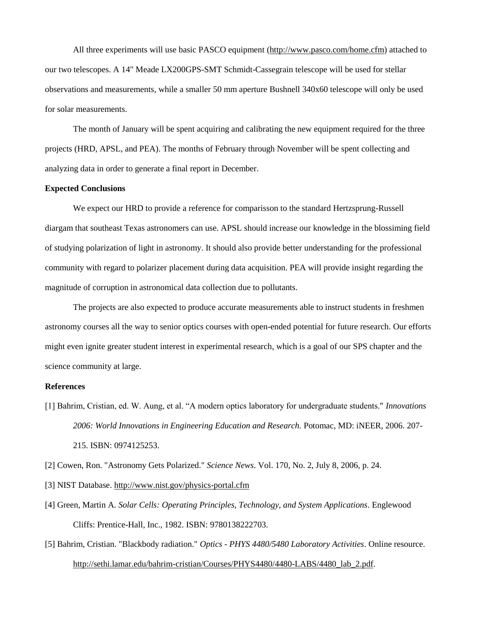All three experiments will use basic PASCO equipment [\(http://www.pasco.com/home.cfm\)](http://www.pasco.com/home.cfm) attached to our two telescopes. A 14" Meade LX200GPS-SMT Schmidt-Cassegrain telescope will be used for stellar observations and measurements, while a smaller 50 mm aperture Bushnell 340x60 telescope will only be used for solar measurements.

The month of January will be spent acquiring and calibrating the new equipment required for the three projects (HRD, APSL, and PEA). The months of February through November will be spent collecting and analyzing data in order to generate a final report in December.

## **Expected Conclusions**

We expect our HRD to provide a reference for comparisson to the standard Hertzsprung-Russell diargam that southeast Texas astronomers can use. APSL should increase our knowledge in the blossiming field of studying polarization of light in astronomy. It should also provide better understanding for the professional community with regard to polarizer placement during data acquisition. PEA will provide insight regarding the magnitude of corruption in astronomical data collection due to pollutants.

The projects are also expected to produce accurate measurements able to instruct students in freshmen astronomy courses all the way to senior optics courses with open-ended potential for future research. Our efforts might even ignite greater student interest in experimental research, which is a goal of our SPS chapter and the science community at large.

### **References**

[1] Bahrim, Cristian, ed. W. Aung, et al. "A modern optics laboratory for undergraduate students." *Innovations 2006: World Innovations in Engineering Education and Research.* Potomac, MD: iNEER, 2006. 207- 215. ISBN: 0974125253.

[2] Cowen, Ron. "Astronomy Gets Polarized." *Science News*. Vol. 170, No. 2, July 8, 2006, p. 24.

- [3] NIST Database.<http://www.nist.gov/physics-portal.cfm>
- [4] Green, Martin A. *Solar Cells: Operating Principles, Technology, and System Applications*. Englewood Cliffs: Prentice-Hall, Inc., 1982. ISBN: 9780138222703.
- [5] Bahrim, Cristian. "Blackbody radiation." *Optics - PHYS 4480/5480 Laboratory Activities*. Online resource. [http://sethi.lamar.edu/bahrim-cristian/Courses/PHYS4480/4480-LABS/4480\\_lab\\_2.pdf.](http://sethi.lamar.edu/bahrim-cristian/Courses/PHYS4480/4480-LABS/4480_lab_2.pdf)